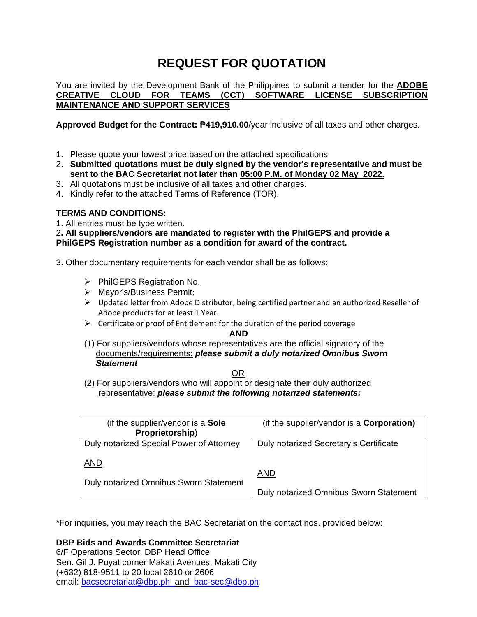# **REQUEST FOR QUOTATION**

You are invited by the Development Bank of the Philippines to submit a tender for the **ADOBE CREATIVE CLOUD FOR TEAMS (CCT) SOFTWARE LICENSE SUBSCRIPTION MAINTENANCE AND SUPPORT SERVICES**

**Approved Budget for the Contract: ₱419,910.00**/year inclusive of all taxes and other charges.

- 1. Please quote your lowest price based on the attached specifications
- 2. **Submitted quotations must be duly signed by the vendor's representative and must be sent to the BAC Secretariat not later than 05:00 P.M. of Monday 02 May 2022.**
- 3. All quotations must be inclusive of all taxes and other charges.
- 4. Kindly refer to the attached Terms of Reference (TOR).

### **TERMS AND CONDITIONS:**

1. All entries must be type written.

2**. All suppliers/vendors are mandated to register with the PhilGEPS and provide a PhilGEPS Registration number as a condition for award of the contract.**

3. Other documentary requirements for each vendor shall be as follows:

- ➢ PhilGEPS Registration No.
- ➢ Mayor's/Business Permit;
- ➢ Updated letter from Adobe Distributor, being certified partner and an authorized Reseller of Adobe products for at least 1 Year.
- $\triangleright$  Certificate or proof of Entitlement for the duration of the period coverage

**AND** 

(1) For suppliers/vendors whose representatives are the official signatory of the documents/requirements: *please submit a duly notarized Omnibus Sworn Statement*

**OR** Service Service Service Service Service Service Service Service Service Service Service Service Service Service Service Service Service Service Service Service Service Service Service Service Service Service Service S

(2) For suppliers/vendors who will appoint or designate their duly authorized representative: *please submit the following notarized statements:*

| (if the supplier/vendor is a Sole<br>Proprietorship) | (if the supplier/vendor is a <b>Corporation)</b> |
|------------------------------------------------------|--------------------------------------------------|
| Duly notarized Special Power of Attorney             | Duly notarized Secretary's Certificate           |
| <b>AND</b>                                           | <b>AND</b>                                       |
| Duly notarized Omnibus Sworn Statement               | Duly notarized Omnibus Sworn Statement           |

\*For inquiries, you may reach the BAC Secretariat on the contact nos. provided below:

**DBP Bids and Awards Committee Secretariat** 

6/F Operations Sector, DBP Head Office Sen. Gil J. Puyat corner Makati Avenues, Makati City (+632) 818-9511 to 20 local 2610 or 2606 email: [bacsecretariat@dbp.ph](mailto:bacsecretariat@dbp.ph) and [bac-sec@dbp.ph](mailto:bac-sec@dbp.ph)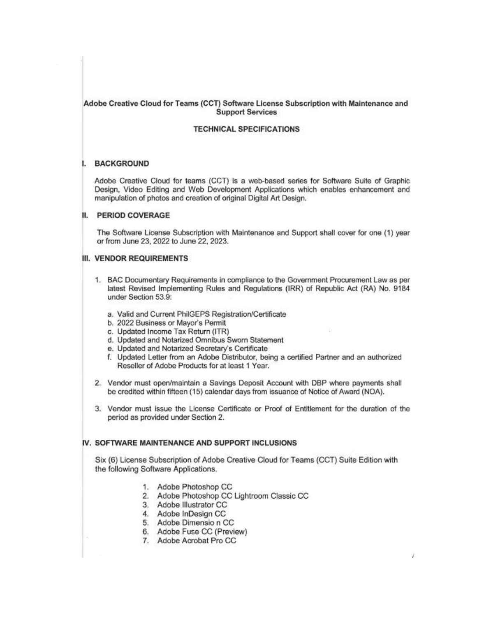#### Adobe Creative Cloud for Teams (CCT) Software License Subscription with Maintenance and **Support Services**

#### **TECHNICAL SPECIFICATIONS**

#### **BACKGROUND** i.

Adobe Creative Cloud for teams (CCT) is a web-based series for Software Suite of Graphic Design, Video Editing and Web Development Applications which enables enhancement and manipulation of photos and creation of original Digital Art Design.

#### II. PERIOD COVERAGE

The Software License Subscription with Maintenance and Support shall cover for one (1) year or from June 23, 2022 to June 22, 2023.

#### **III. VENDOR REQUIREMENTS**

- 1. BAC Documentary Requirements in compliance to the Government Procurement Law as per latest Revised Implementing Rules and Regulations (IRR) of Republic Act (RA) No. 9184 under Section 53.9:
	- a. Valid and Current PhilGEPS Registration/Certificate
	- b. 2022 Business or Mayor's Permit
	- c. Updated Income Tax Return (ITR)
	- d. Updated and Notarized Omnibus Sworn Statement
	- e. Updated and Notarized Secretary's Certificate
	- f. Updated Letter from an Adobe Distributor, being a certified Partner and an authorized Reseller of Adobe Products for at least 1 Year.
- 2. Vendor must open/maintain a Savings Deposit Account with DBP where payments shall be credited within fifteen (15) calendar days from issuance of Notice of Award (NOA).
- 3. Vendor must issue the License Certificate or Proof of Entitlement for the duration of the period as provided under Section 2.

#### IV. SOFTWARE MAINTENANCE AND SUPPORT INCLUSIONS

Six (6) License Subscription of Adobe Creative Cloud for Teams (CCT) Suite Edition with the following Software Applications.

- 1. Adobe Photoshop CC
- 2. Adobe Photoshop CC Lightroom Classic CC
- 3. Adobe Illustrator CC
- 4. Adobe InDesign CC
- 5. Adobe Dimensio n CC
- 6. Adobe Fuse CC (Preview)
- 7. Adobe Acrobat Pro CC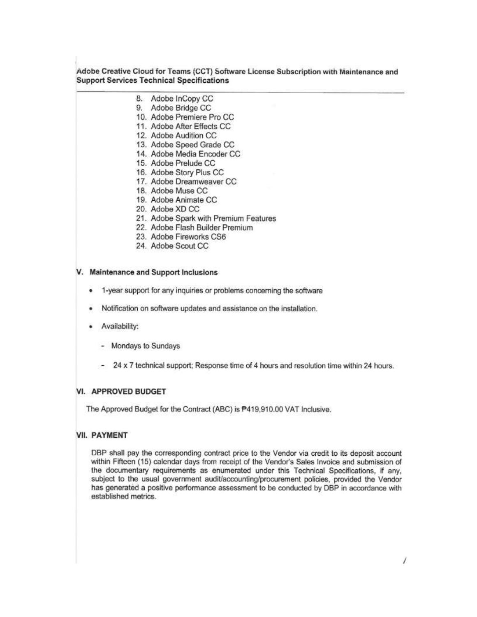#### Adobe Creative Cloud for Teams (CCT) Software License Subscription with Maintenance and **Support Services Technical Specifications**

- 8. Adobe InCopy CC
- 9. Adobe Bridge CC
- 10. Adobe Premiere Pro CC
- 11. Adobe After Effects CC
- 12. Adobe Audition CC
- 13. Adobe Speed Grade CC
- 14. Adobe Media Encoder CC
- 15. Adobe Prelude CC
- 16. Adobe Story Plus CC
- 17. Adobe Dreamweaver CC
- 18. Adobe Muse CC
- 19. Adobe Animate CC
- 20. Adobe XD CC
- 21. Adobe Spark with Premium Features
- 22. Adobe Flash Builder Premium
- 23. Adobe Fireworks CS6
- 24. Adobe Scout CC

#### V. Maintenance and Support Inclusions

- 1-year support for any inquiries or problems concerning the software
- Notification on software updates and assistance on the installation.
- Availability:
	- Mondays to Sundays
	- 24 x 7 technical support; Response time of 4 hours and resolution time within 24 hours.

#### VI. APPROVED BUDGET

The Approved Budget for the Contract (ABC) is P419,910.00 VAT Inclusive.

#### **VII. PAYMENT**

DBP shall pay the corresponding contract price to the Vendor via credit to its deposit account within Fifteen (15) calendar days from receipt of the Vendor's Sales Invoice and submission of the documentary requirements as enumerated under this Technical Specifications, if any, subject to the usual government audit/accounting/procurement policies, provided the Vendor has generated a positive performance assessment to be conducted by DBP in accordance with established metrics.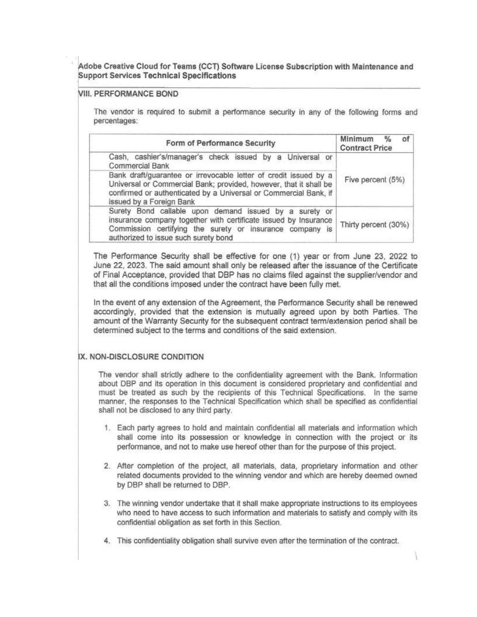Adobe Creative Cloud for Teams (CCT) Software License Subscription with Maintenance and **Support Services Technical Specifications** 

#### **VIII, PERFORMANCE BOND**

The vendor is required to submit a performance security in any of the following forms and percentages:

| Form of Performance Security                                                                                                                                                                                                          | Minimum<br>$\frac{0}{2}$<br>٥f<br><b>Contract Price</b> |  |
|---------------------------------------------------------------------------------------------------------------------------------------------------------------------------------------------------------------------------------------|---------------------------------------------------------|--|
| Cash, cashier's/manager's check issued by a Universal or<br>Commercial Bank                                                                                                                                                           |                                                         |  |
| Bank draft/guarantee or irrevocable letter of credit issued by a<br>Universal or Commercial Bank; provided, however, that it shall be<br>confirmed or authenticated by a Universal or Commercial Bank, if<br>issued by a Foreign Bank | Five percent (5%)                                       |  |
| Surety Bond callable upon demand issued by a surety or<br>insurance company together with certificate issued by Insurance<br>Commission certifying the surety or insurance company is<br>authorized to issue such surety bond         | Thirty percent (30%)                                    |  |

The Performance Security shall be effective for one (1) year or from June 23, 2022 to June 22, 2023. The said amount shall only be released after the issuance of the Certificate of Final Acceptance, provided that DBP has no claims filed against the supplier/vendor and that all the conditions imposed under the contract have been fully met.

In the event of any extension of the Agreement, the Performance Security shall be renewed accordingly, provided that the extension is mutually agreed upon by both Parties. The amount of the Warranty Security for the subsequent contract term/extension period shall be determined subject to the terms and conditions of the said extension.

#### IX. NON-DISCLOSURE CONDITION

The vendor shall strictly adhere to the confidentiality agreement with the Bank. Information about DBP and its operation in this document is considered proprietary and confidential and must be treated as such by the recipients of this Technical Specifications. In the same manner, the responses to the Technical Specification which shall be specified as confidential shall not be disclosed to any third party.

- 1. Each party agrees to hold and maintain confidential all materials and information which shall come into its possession or knowledge in connection with the project or its performance, and not to make use hereof other than for the purpose of this project.
- 2. After completion of the project, all materials, data, proprietary information and other related documents provided to the winning vendor and which are hereby deemed owned by DBP shall be returned to DBP.
- 3. The winning vendor undertake that it shall make appropriate instructions to its employees who need to have access to such information and materials to satisfy and comply with its confidential obligation as set forth in this Section.
- 4. This confidentiality obligation shall survive even after the termination of the contract.